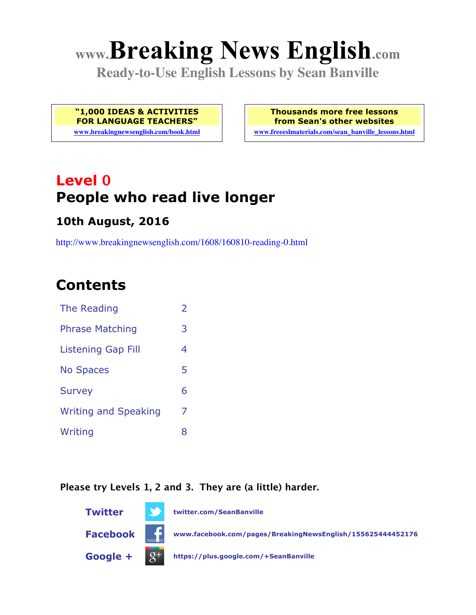# **www.Breaking News English.com**

**Ready-to-Use English Lessons by Sean Banville**

**"1,000 IDEAS & ACTIVITIES FOR LANGUAGE TEACHERS"**

**www.breakingnewsenglish.com/book.html**

**Thousands more free lessons from Sean's other websites www.freeeslmaterials.com/sean\_banville\_lessons.html**

**Level 0 People who read live longer**

### **10th August, 2016**

http://www.breakingnewsenglish.com/1608/160810-reading-0.html

### **Contents**

| The Reading                 | $\overline{\phantom{a}}$ |
|-----------------------------|--------------------------|
| <b>Phrase Matching</b>      | 3                        |
| Listening Gap Fill          | 4                        |
| <b>No Spaces</b>            | 5                        |
| <b>Survey</b>               | 6                        |
| <b>Writing and Speaking</b> | 7                        |
| Writing                     | 8                        |

#### **Please try Levels 1, 2 and 3. They are (a little) harder.**

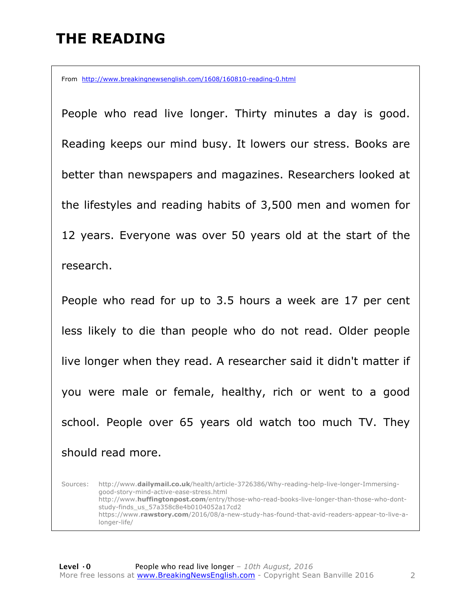### **THE READING**

From http://www.breakingnewsenglish.com/1608/160810-reading-0.html

People who read live longer. Thirty minutes a day is good. Reading keeps our mind busy. It lowers our stress. Books are better than newspapers and magazines. Researchers looked at the lifestyles and reading habits of 3,500 men and women for 12 years. Everyone was over 50 years old at the start of the research.

People who read for up to 3.5 hours a week are 17 per cent less likely to die than people who do not read. Older people live longer when they read. A researcher said it didn't matter if you were male or female, healthy, rich or went to a good school. People over 65 years old watch too much TV. They should read more.

Sources: http://www.**dailymail.co.uk**/health/article-3726386/Why-reading-help-live-longer-Immersinggood-story-mind-active-ease-stress.html http://www.**huffingtonpost.com**/entry/those-who-read-books-live-longer-than-those-who-dontstudy-finds\_us\_57a358c8e4b0104052a17cd2 https://www.**rawstory.com**/2016/08/a-new-study-has-found-that-avid-readers-appear-to-live-alonger-life/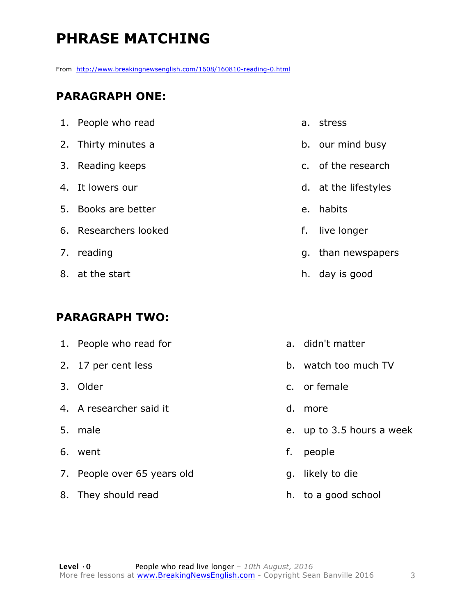### **PHRASE MATCHING**

From http://www.breakingnewsenglish.com/1608/160810-reading-0.html

#### **PARAGRAPH ONE:**

| 1. People who read    |    | a. stress            |
|-----------------------|----|----------------------|
| 2. Thirty minutes a   |    | b. our mind busy     |
| 3. Reading keeps      |    | c. of the research   |
| 4. It lowers our      |    | d. at the lifestyles |
| 5. Books are better   |    | e. habits            |
| 6. Researchers looked | f. | live longer          |
| 7. reading            |    | g. than newspapers   |
| 8. at the start       |    | h. day is good       |
|                       |    |                      |

#### **PARAGRAPH TWO:**

8. They should read

| 1. People who read for      |    | a. didn't matter       |
|-----------------------------|----|------------------------|
| 2. 17 per cent less         |    | b. watch too much TV   |
| 3. Older                    |    | c. or female           |
| 4. A researcher said it     | d. | more                   |
| 5. male                     |    | e. up to 3.5 hours a w |
| 6. went                     | f. | people                 |
| 7. People over 65 years old |    | g. likely to die       |

h. to a good school

week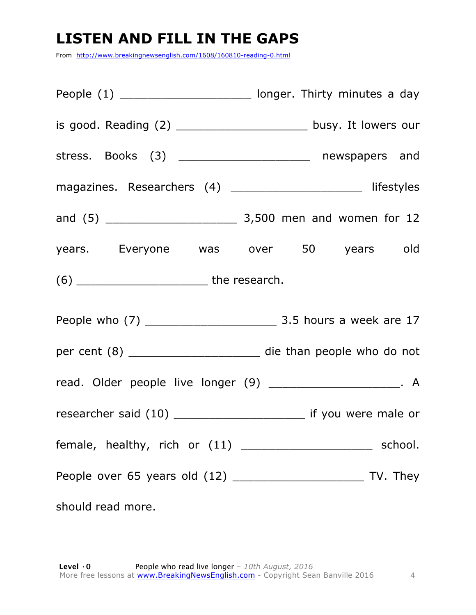### **LISTEN AND FILL IN THE GAPS**

From http://www.breakingnewsenglish.com/1608/160810-reading-0.html

|                                                                                                                  | People (1) __________________________ longer. Thirty minutes a day    |
|------------------------------------------------------------------------------------------------------------------|-----------------------------------------------------------------------|
|                                                                                                                  | is good. Reading (2) _______________________ busy. It lowers our      |
|                                                                                                                  | stress. Books (3) ______________________ newspapers and               |
|                                                                                                                  | magazines. Researchers (4) ______________________ lifestyles          |
|                                                                                                                  |                                                                       |
|                                                                                                                  | years. Everyone was over 50 years old                                 |
|                                                                                                                  |                                                                       |
|                                                                                                                  |                                                                       |
|                                                                                                                  | per cent (8) ________________________ die than people who do not      |
|                                                                                                                  | read. Older people live longer (9) ______________________. A          |
|                                                                                                                  | researcher said (10) ____________________________ if you were male or |
|                                                                                                                  |                                                                       |
|                                                                                                                  |                                                                       |
| should read more. The state of the state of the state of the state of the state of the state of the state of the |                                                                       |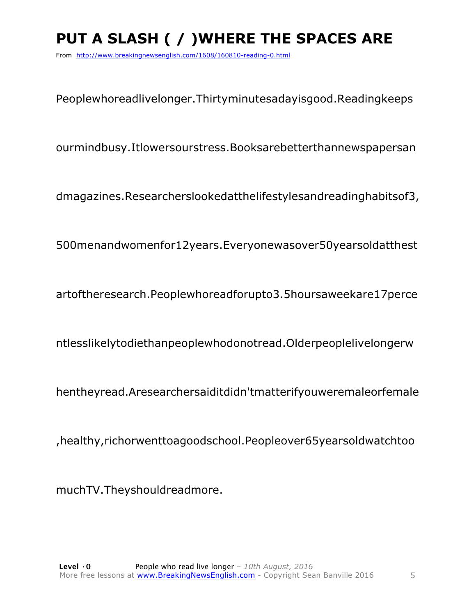## **PUT A SLASH ( / )WHERE THE SPACES ARE**

From http://www.breakingnewsenglish.com/1608/160810-reading-0.html

Peoplewhoreadlivelonger.Thirtyminutesadayisgood.Readingkeeps

ourmindbusy.Itlowersourstress.Booksarebetterthannewspapersan

dmagazines.Researcherslookedatthelifestylesandreadinghabitsof3,

500menandwomenfor12years.Everyonewasover50yearsoldatthest

artoftheresearch.Peoplewhoreadforupto3.5hoursaweekare17perce

ntlesslikelytodiethanpeoplewhodonotread.Olderpeoplelivelongerw

hentheyread.Aresearchersaiditdidn'tmatterifyouweremaleorfemale

,healthy,richorwenttoagoodschool.Peopleover65yearsoldwatchtoo

muchTV.Theyshouldreadmore.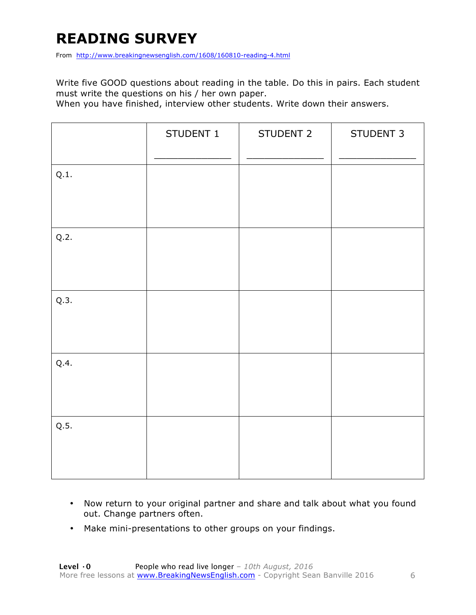### **READING SURVEY**

From http://www.breakingnewsenglish.com/1608/160810-reading-4.html

Write five GOOD questions about reading in the table. Do this in pairs. Each student must write the questions on his / her own paper.

When you have finished, interview other students. Write down their answers.

|      | STUDENT 1 | STUDENT 2 | STUDENT 3 |
|------|-----------|-----------|-----------|
| Q.1. |           |           |           |
| Q.2. |           |           |           |
| Q.3. |           |           |           |
| Q.4. |           |           |           |
| Q.5. |           |           |           |

- Now return to your original partner and share and talk about what you found out. Change partners often.
- Make mini-presentations to other groups on your findings.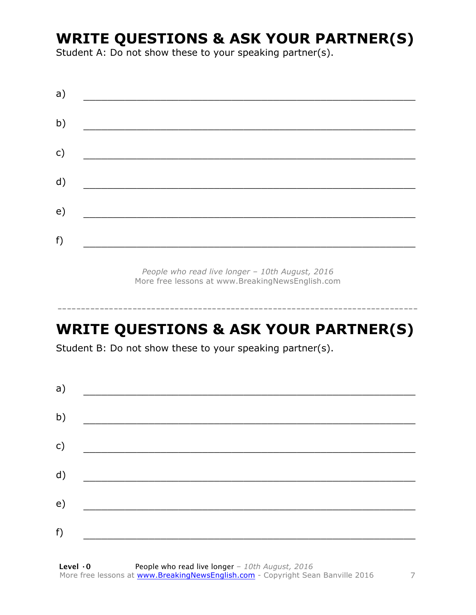### **WRITE QUESTIONS & ASK YOUR PARTNER(S)**

Student A: Do not show these to your speaking partner(s).

| a) |  |  |
|----|--|--|
| b) |  |  |
| c) |  |  |
| d) |  |  |
| e) |  |  |
| f) |  |  |
|    |  |  |

*People who read live longer – 10th August, 2016* More free lessons at www.BreakingNewsEnglish.com

### **WRITE QUESTIONS & ASK YOUR PARTNER(S)**

-----------------------------------------------------------------------------

Student B: Do not show these to your speaking partner(s).

| a) |  |  |
|----|--|--|
| b) |  |  |
| c) |  |  |
| d) |  |  |
| e) |  |  |
|    |  |  |
| f) |  |  |